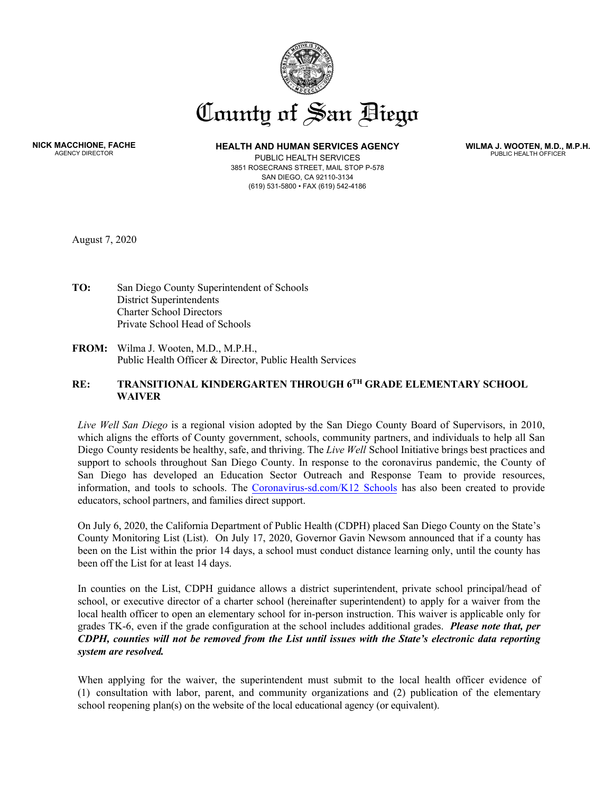

**NICK MACCHIONE, FACHE** AGENCY DIRECTOR

**HEALTH AND HUMAN SERVICES AGENCY** 

PUBLIC HEALTH SERVICES 3851 ROSECRANS STREET, MAIL STOP P-578 SAN DIEGO, CA 92110-3134 (619) 531-5800 • FAX (619) 542-4186

**WILMA J. WOOTEN, M.D., M.P.H.** PUBLIC HEALTH OFFICER

August 7, 2020

- **TO:** San Diego County Superintendent of Schools District Superintendents Charter School Directors Private School Head of Schools
- **FROM:** Wilma J. Wooten, M.D., M.P.H., Public Health Officer & Director, Public Health Services

## **RE: TRANSITIONAL KINDERGARTEN THROUGH 6 TH GRADE ELEMENTARY SCHOOL WAIVER**

*Live Well San Diego* is a regional vision adopted by the San Diego County Board of Supervisors, in 2010, which aligns the efforts of County government, schools, community partners, and individuals to help all San Diego County residents be healthy, safe, and thriving. The *Live Well* School Initiative brings best practices and support to schools throughout San Diego County. In response to the coronavirus pandemic, the County of San Diego has developed an Education Sector Outreach and Response Team to provide resources, information, and tools to schools. The [Coronavirus-sd.com/K12 Schools](https://www.sandiegocounty.gov/content/sdc/hhsa/programs/phs/community_epidemiology/dc/2019-nCoV/CommunitySectors/Schools_SDCOE_K12.html) has also been created to provide educators, school partners, and families direct support.

On July 6, 2020, the California Department of Public Health (CDPH) placed San Diego County on the State's County Monitoring List (List). On July 17, 2020, Governor Gavin Newsom announced that if a county has been on the List within the prior 14 days, a school must conduct distance learning only, until the county has been off the List for at least 14 days.

In counties on the List, CDPH guidance allows a district superintendent, private school principal/head of school, or executive director of a charter school (hereinafter superintendent) to apply for a waiver from the local health officer to open an elementary school for in-person instruction. This waiver is applicable only for grades TK-6, even if the grade configuration at the school includes additional grades. *Please note that, per CDPH, counties will not be removed from the List until issues with the State's electronic data reporting system are resolved.*

When applying for the waiver, the superintendent must submit to the local health officer evidence of (1) consultation with labor, parent, and community organizations and (2) publication of the elementary school reopening plan(s) on the website of the local educational agency (or equivalent).